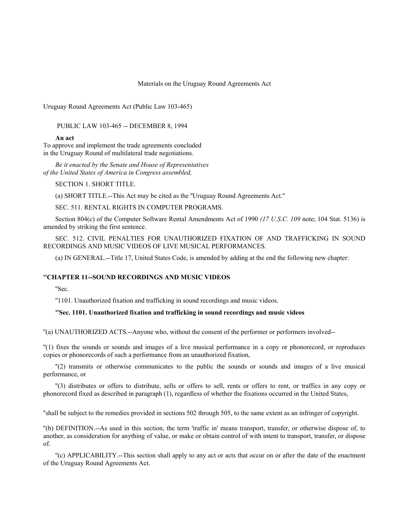### Materials on the Uruguay Round Agreements Act

Uruguay Round Agreements Act (Public Law 103-465)

PUBLIC LAW 103-465 -- DECEMBER 8, 1994

### **An act**

To approve and implement the trade agreements concluded in the Uruguay Round of multilateral trade negotiations.

*Be it enacted by the Senate and House of Representatives of the United States of America in Congress assembled,*

SECTION 1. SHORT TITLE.

(a) SHORT TITLE.--This Act may be cited as the ''Uruguay Round Agreements Act.''

SEC. 511. RENTAL RIGHTS IN COMPUTER PROGRAMS.

Section 804(c) of the Computer Software Rental Amendments Act of 1990 *(17 U.S.C. 109* note; 104 Stat. 5136) is amended by striking the first sentence.

SEC. 512. CIVIL PENALTIES FOR UNAUTHORIZED FIXATION OF AND TRAFFICKING IN SOUND RECORDINGS AND MUSIC VIDEOS OF LIVE MUSICAL PERFORMANCES.

(a) IN GENERAL.--Title 17, United States Code, is amended by adding at the end the following new chapter:

### **''CHAPTER 11--SOUND RECORDINGS AND MUSIC VIDEOS**

''Sec.

''1101. Unauthorized fixation and trafficking in sound recordings and music videos.

# **''Sec. 1101. Unauthorized fixation and trafficking in sound recordings and music videos**

''(a) UNAUTHORIZED ACTS.--Anyone who, without the consent of the performer or performers involved--

''(1) fixes the sounds or sounds and images of a live musical performance in a copy or phonorecord, or reproduces copies or phonorecords of such a performance from an unauthorized fixation,

''(2) transmits or otherwise communicates to the public the sounds or sounds and images of a live musical performance, or

''(3) distributes or offers to distribute, sells or offers to sell, rents or offers to rent, or traffics in any copy or phonorecord fixed as described in paragraph (1), regardless of whether the fixations occurred in the United States,

''shall be subject to the remedies provided in sections 502 through 505, to the same extent as an infringer of copyright.

''(b) DEFINITION.--As used in this section, the term 'traffic in' means transport, transfer, or otherwise dispose of, to another, as consideration for anything of value, or make or obtain control of with intent to transport, transfer, or dispose of.

''(c) APPLICABILITY.--This section shall apply to any act or acts that occur on or after the date of the enactment of the Uruguay Round Agreements Act.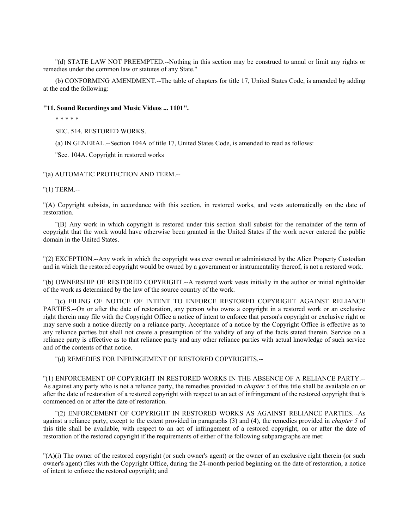''(d) STATE LAW NOT PREEMPTED.--Nothing in this section may be construed to annul or limit any rights or remedies under the common law or statutes of any State.''

(b) CONFORMING AMENDMENT.--The table of chapters for title 17, United States Code, is amended by adding at the end the following:

### **''11. Sound Recordings and Music Videos ... 1101''.**

\* \* \* \* \*

SEC. 514. RESTORED WORKS.

(a) IN GENERAL.--Section 104A of title 17, United States Code, is amended to read as follows:

''Sec. 104A. Copyright in restored works

''(a) AUTOMATIC PROTECTION AND TERM.--

''(1) TERM.--

''(A) Copyright subsists, in accordance with this section, in restored works, and vests automatically on the date of restoration.

''(B) Any work in which copyright is restored under this section shall subsist for the remainder of the term of copyright that the work would have otherwise been granted in the United States if the work never entered the public domain in the United States.

''(2) EXCEPTION.--Any work in which the copyright was ever owned or administered by the Alien Property Custodian and in which the restored copyright would be owned by a government or instrumentality thereof, is not a restored work.

''(b) OWNERSHIP OF RESTORED COPYRIGHT.--A restored work vests initially in the author or initial rightholder of the work as determined by the law of the source country of the work.

''(c) FILING OF NOTICE OF INTENT TO ENFORCE RESTORED COPYRIGHT AGAINST RELIANCE PARTIES.--On or after the date of restoration, any person who owns a copyright in a restored work or an exclusive right therein may file with the Copyright Office a notice of intent to enforce that person's copyright or exclusive right or may serve such a notice directly on a reliance party. Acceptance of a notice by the Copyright Office is effective as to any reliance parties but shall not create a presumption of the validity of any of the facts stated therein. Service on a reliance party is effective as to that reliance party and any other reliance parties with actual knowledge of such service and of the contents of that notice.

''(d) REMEDIES FOR INFRINGEMENT OF RESTORED COPYRIGHTS.--

''(1) ENFORCEMENT OF COPYRIGHT IN RESTORED WORKS IN THE ABSENCE OF A RELIANCE PARTY.-- As against any party who is not a reliance party, the remedies provided in *chapter 5* of this title shall be available on or after the date of restoration of a restored copyright with respect to an act of infringement of the restored copyright that is commenced on or after the date of restoration.

''(2) ENFORCEMENT OF COPYRIGHT IN RESTORED WORKS AS AGAINST RELIANCE PARTIES.--As against a reliance party, except to the extent provided in paragraphs (3) and (4), the remedies provided in *chapter 5* of this title shall be available, with respect to an act of infringement of a restored copyright, on or after the date of restoration of the restored copyright if the requirements of either of the following subparagraphs are met:

''(A)(i) The owner of the restored copyright (or such owner's agent) or the owner of an exclusive right therein (or such owner's agent) files with the Copyright Office, during the 24-month period beginning on the date of restoration, a notice of intent to enforce the restored copyright; and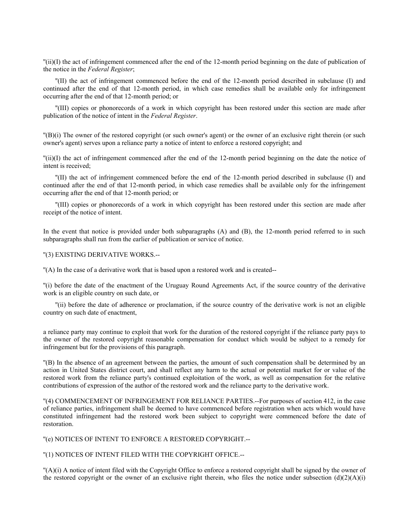''(ii)(I) the act of infringement commenced after the end of the 12-month period beginning on the date of publication of the notice in the *Federal Register*;

''(II) the act of infringement commenced before the end of the 12-month period described in subclause (I) and continued after the end of that 12-month period, in which case remedies shall be available only for infringement occurring after the end of that 12-month period; or

''(III) copies or phonorecords of a work in which copyright has been restored under this section are made after publication of the notice of intent in the *Federal Register*.

''(B)(i) The owner of the restored copyright (or such owner's agent) or the owner of an exclusive right therein (or such owner's agent) serves upon a reliance party a notice of intent to enforce a restored copyright; and

''(ii)(I) the act of infringement commenced after the end of the 12-month period beginning on the date the notice of intent is received;

''(II) the act of infringement commenced before the end of the 12-month period described in subclause (I) and continued after the end of that 12-month period, in which case remedies shall be available only for the infringement occurring after the end of that 12-month period; or

''(III) copies or phonorecords of a work in which copyright has been restored under this section are made after receipt of the notice of intent.

In the event that notice is provided under both subparagraphs (A) and (B), the 12-month period referred to in such subparagraphs shall run from the earlier of publication or service of notice.

''(3) EXISTING DERIVATIVE WORKS.--

''(A) In the case of a derivative work that is based upon a restored work and is created--

''(i) before the date of the enactment of the Uruguay Round Agreements Act, if the source country of the derivative work is an eligible country on such date, or

''(ii) before the date of adherence or proclamation, if the source country of the derivative work is not an eligible country on such date of enactment,

a reliance party may continue to exploit that work for the duration of the restored copyright if the reliance party pays to the owner of the restored copyright reasonable compensation for conduct which would be subject to a remedy for infringement but for the provisions of this paragraph.

''(B) In the absence of an agreement between the parties, the amount of such compensation shall be determined by an action in United States district court, and shall reflect any harm to the actual or potential market for or value of the restored work from the reliance party's continued exploitation of the work, as well as compensation for the relative contributions of expression of the author of the restored work and the reliance party to the derivative work.

''(4) COMMENCEMENT OF INFRINGEMENT FOR RELIANCE PARTIES.--For purposes of section 412, in the case of reliance parties, infringement shall be deemed to have commenced before registration when acts which would have constituted infringement had the restored work been subject to copyright were commenced before the date of restoration.

''(e) NOTICES OF INTENT TO ENFORCE A RESTORED COPYRIGHT.--

''(1) NOTICES OF INTENT FILED WITH THE COPYRIGHT OFFICE.--

''(A)(i) A notice of intent filed with the Copyright Office to enforce a restored copyright shall be signed by the owner of the restored copyright or the owner of an exclusive right therein, who files the notice under subsection  $(d)(2)(A)(i)$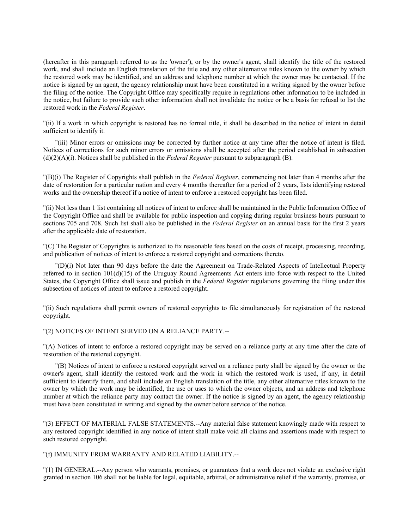(hereafter in this paragraph referred to as the 'owner'), or by the owner's agent, shall identify the title of the restored work, and shall include an English translation of the title and any other alternative titles known to the owner by which the restored work may be identified, and an address and telephone number at which the owner may be contacted. If the notice is signed by an agent, the agency relationship must have been constituted in a writing signed by the owner before the filing of the notice. The Copyright Office may specifically require in regulations other information to be included in the notice, but failure to provide such other information shall not invalidate the notice or be a basis for refusal to list the restored work in the *Federal Register*.

''(ii) If a work in which copyright is restored has no formal title, it shall be described in the notice of intent in detail sufficient to identify it.

''(iii) Minor errors or omissions may be corrected by further notice at any time after the notice of intent is filed. Notices of corrections for such minor errors or omissions shall be accepted after the period established in subsection (d)(2)(A)(i). Notices shall be published in the *Federal Register* pursuant to subparagraph (B).

''(B)(i) The Register of Copyrights shall publish in the *Federal Register*, commencing not later than 4 months after the date of restoration for a particular nation and every 4 months thereafter for a period of 2 years, lists identifying restored works and the ownership thereof if a notice of intent to enforce a restored copyright has been filed.

''(ii) Not less than 1 list containing all notices of intent to enforce shall be maintained in the Public Information Office of the Copyright Office and shall be available for public inspection and copying during regular business hours pursuant to sections 705 and 708. Such list shall also be published in the *Federal Register* on an annual basis for the first 2 years after the applicable date of restoration.

''(C) The Register of Copyrights is authorized to fix reasonable fees based on the costs of receipt, processing, recording, and publication of notices of intent to enforce a restored copyright and corrections thereto.

''(D)(i) Not later than 90 days before the date the Agreement on Trade-Related Aspects of Intellectual Property referred to in section 101(d)(15) of the Uruguay Round Agreements Act enters into force with respect to the United States, the Copyright Office shall issue and publish in the *Federal Register* regulations governing the filing under this subsection of notices of intent to enforce a restored copyright.

''(ii) Such regulations shall permit owners of restored copyrights to file simultaneously for registration of the restored copyright.

## ''(2) NOTICES OF INTENT SERVED ON A RELIANCE PARTY.--

''(A) Notices of intent to enforce a restored copyright may be served on a reliance party at any time after the date of restoration of the restored copyright.

''(B) Notices of intent to enforce a restored copyright served on a reliance party shall be signed by the owner or the owner's agent, shall identify the restored work and the work in which the restored work is used, if any, in detail sufficient to identify them, and shall include an English translation of the title, any other alternative titles known to the owner by which the work may be identified, the use or uses to which the owner objects, and an address and telephone number at which the reliance party may contact the owner. If the notice is signed by an agent, the agency relationship must have been constituted in writing and signed by the owner before service of the notice.

''(3) EFFECT OF MATERIAL FALSE STATEMENTS.--Any material false statement knowingly made with respect to any restored copyright identified in any notice of intent shall make void all claims and assertions made with respect to such restored copyright.

### ''(f) IMMUNITY FROM WARRANTY AND RELATED LIABILITY.--

''(1) IN GENERAL.--Any person who warrants, promises, or guarantees that a work does not violate an exclusive right granted in section 106 shall not be liable for legal, equitable, arbitral, or administrative relief if the warranty, promise, or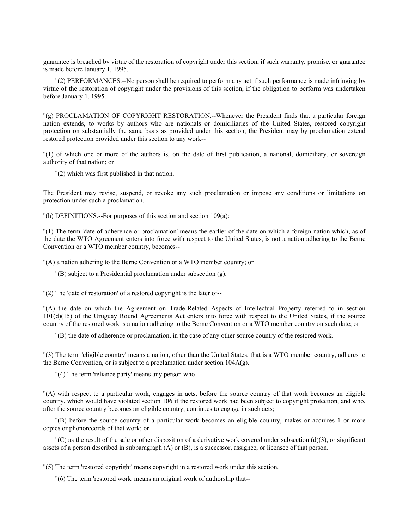guarantee is breached by virtue of the restoration of copyright under this section, if such warranty, promise, or guarantee is made before January 1, 1995.

''(2) PERFORMANCES.--No person shall be required to perform any act if such performance is made infringing by virtue of the restoration of copyright under the provisions of this section, if the obligation to perform was undertaken before January 1, 1995.

''(g) PROCLAMATION OF COPYRIGHT RESTORATION.--Whenever the President finds that a particular foreign nation extends, to works by authors who are nationals or domiciliaries of the United States, restored copyright protection on substantially the same basis as provided under this section, the President may by proclamation extend restored protection provided under this section to any work--

''(1) of which one or more of the authors is, on the date of first publication, a national, domiciliary, or sovereign authority of that nation; or

''(2) which was first published in that nation.

The President may revise, suspend, or revoke any such proclamation or impose any conditions or limitations on protection under such a proclamation.

''(h) DEFINITIONS.--For purposes of this section and section 109(a):

''(1) The term 'date of adherence or proclamation' means the earlier of the date on which a foreign nation which, as of the date the WTO Agreement enters into force with respect to the United States, is not a nation adhering to the Berne Convention or a WTO member country, becomes--

''(A) a nation adhering to the Berne Convention or a WTO member country; or

''(B) subject to a Presidential proclamation under subsection (g).

''(2) The 'date of restoration' of a restored copyright is the later of--

''(A) the date on which the Agreement on Trade-Related Aspects of Intellectual Property referred to in section 101(d)(15) of the Uruguay Round Agreements Act enters into force with respect to the United States, if the source country of the restored work is a nation adhering to the Berne Convention or a WTO member country on such date; or

''(B) the date of adherence or proclamation, in the case of any other source country of the restored work.

''(3) The term 'eligible country' means a nation, other than the United States, that is a WTO member country, adheres to the Berne Convention, or is subject to a proclamation under section 104A(g).

"(4) The term 'reliance party' means any person who--

''(A) with respect to a particular work, engages in acts, before the source country of that work becomes an eligible country, which would have violated section 106 if the restored work had been subject to copyright protection, and who, after the source country becomes an eligible country, continues to engage in such acts;

''(B) before the source country of a particular work becomes an eligible country, makes or acquires 1 or more copies or phonorecords of that work; or

 $C(C)$  as the result of the sale or other disposition of a derivative work covered under subsection (d)(3), or significant assets of a person described in subparagraph (A) or (B), is a successor, assignee, or licensee of that person.

''(5) The term 'restored copyright' means copyright in a restored work under this section.

''(6) The term 'restored work' means an original work of authorship that--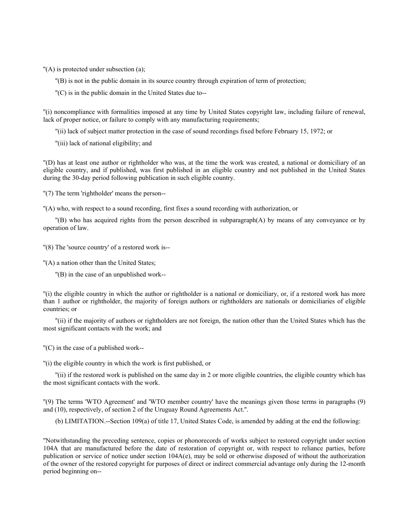''(A) is protected under subsection (a);

- ''(B) is not in the public domain in its source country through expiration of term of protection;
- ''(C) is in the public domain in the United States due to--

''(i) noncompliance with formalities imposed at any time by United States copyright law, including failure of renewal, lack of proper notice, or failure to comply with any manufacturing requirements;

- ''(ii) lack of subject matter protection in the case of sound recordings fixed before February 15, 1972; or
- ''(iii) lack of national eligibility; and

''(D) has at least one author or rightholder who was, at the time the work was created, a national or domiciliary of an eligible country, and if published, was first published in an eligible country and not published in the United States during the 30-day period following publication in such eligible country.

''(7) The term 'rightholder' means the person--

''(A) who, with respect to a sound recording, first fixes a sound recording with authorization, or

''(B) who has acquired rights from the person described in subparagraph(A) by means of any conveyance or by operation of law.

"(8) The 'source country' of a restored work is--

''(A) a nation other than the United States;

''(B) in the case of an unpublished work--

''(i) the eligible country in which the author or rightholder is a national or domiciliary, or, if a restored work has more than 1 author or rightholder, the majority of foreign authors or rightholders are nationals or domiciliaries of eligible countries; or

''(ii) if the majority of authors or rightholders are not foreign, the nation other than the United States which has the most significant contacts with the work; and

''(C) in the case of a published work--

''(i) the eligible country in which the work is first published, or

''(ii) if the restored work is published on the same day in 2 or more eligible countries, the eligible country which has the most significant contacts with the work.

''(9) The terms 'WTO Agreement' and 'WTO member country' have the meanings given those terms in paragraphs (9) and (10), respectively, of section 2 of the Uruguay Round Agreements Act.''.

(b) LIMITATION.--Section 109(a) of title 17, United States Code, is amended by adding at the end the following:

''Notwithstanding the preceding sentence, copies or phonorecords of works subject to restored copyright under section 104A that are manufactured before the date of restoration of copyright or, with respect to reliance parties, before publication or service of notice under section  $104A(e)$ , may be sold or otherwise disposed of without the authorization of the owner of the restored copyright for purposes of direct or indirect commercial advantage only during the 12-month period beginning on--